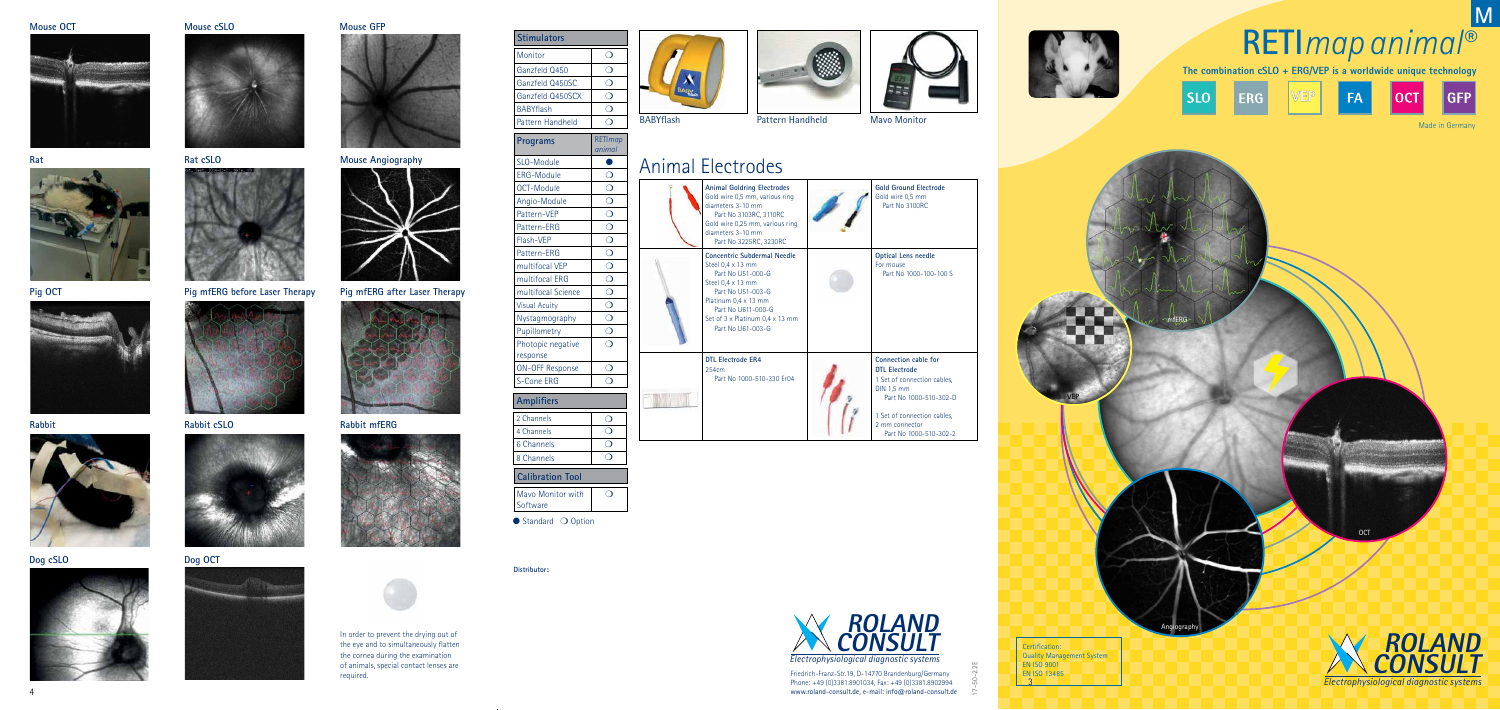**The combination cSLO + ERG/VEP is a worldwide unique technology**





**OCT** 

3 Certification: **Quality Management System EN ISO 9001** EN ISO 13485

Made in Germany

**M**

**RETI***map animal®* 



mfERG







**VEP**

**Programs RETI***map animal* SLO-Module ERG-Module **D**  $OCT-Module$   $O$ Angio-Module  $\bigcup$   $\bigcirc$ Pattern-VEP O Pattern-ERG **D** Flash-VEP and D Pattern-ERG | O multifocal VEP  $\qquad \qquad \overline{\bigcirc}$ multifocal ERG | O multifocal Science  $\Box$ Visual Acuity  $\bigcirc$  $Nysta$ gmography  $\overline{O}$ Pupillometry  $\Box$ Photopic negative response  $\overline{O}$ ON-OFF Response  $\Box$ S-Cone ERG Q **Amplifiers**

> 17-50-2.2E  $\overline{2}$

| <b>Stimulators</b> |  |  |
|--------------------|--|--|
| Monitor            |  |  |
| Ganzfeld Q450      |  |  |
| Ganzfeld Q450SC    |  |  |
| Ganzfeld Q450SCX   |  |  |
| <b>BABYflash</b>   |  |  |
| Pattern Handheld   |  |  |

| 2 Channels                    |  |  |
|-------------------------------|--|--|
| 4 Channels                    |  |  |
| <b>6 Channels</b>             |  |  |
| 8 Channels                    |  |  |
| <b>Calibration Tool</b>       |  |  |
| Mavo Monitor with<br>Software |  |  |

 $\bullet$  Standard  $\circ$  Option

Friedrich-Franz-Str.19, D-14770 Brandenburg/Germany Phone: +49 (0)3381.8901034, Fax: +49 (0)3381.8902994 www.roland-consult.de, e-mail: info@roland-consult.de



**Distributor:**





| <b>Electrodes</b><br>various ring<br>,3110RC<br>, various ring<br>,3230RC | <b>Gold Ground Electrode</b><br>Gold wire 0,5 mm<br>Part No 3100RC |
|---------------------------------------------------------------------------|--------------------------------------------------------------------|
| rmal Needle                                                               | <b>Optical Lens needle</b>                                         |
| 0-G                                                                       | For mouse<br>Part No 1000-100-100 S                                |
| $3-G$                                                                     |                                                                    |
| mm<br>$00 - G$                                                            |                                                                    |
| $0.4 \times 13$ mm<br>$3-G$                                               |                                                                    |
|                                                                           |                                                                    |
|                                                                           | Connection cable for                                               |
| 10-330 Er04                                                               | <b>DTL Electrode</b><br>1 Set of connection cables,                |
|                                                                           | <b>DIN 1,5 mm</b>                                                  |
|                                                                           | Part No 1000-510-302-D                                             |
|                                                                           | 1 Set of connection cables,                                        |
|                                                                           | 2 mm connector                                                     |
|                                                                           | Part No 1000-510-302-2                                             |

#### **Mouse OCT**









**Rabbit**





### **Mouse cSLO Mouse GFP**







**Mouse Angiography**









**Pig mfERG before Laser Therapy Pig mfERG after Laser Therapy**



**Rabbit cSLO Rabbit mfERG**





In order to prevent the drying out of the eye and to simultaneously flatten the cornea during the examination of animals, special contact lenses are required.